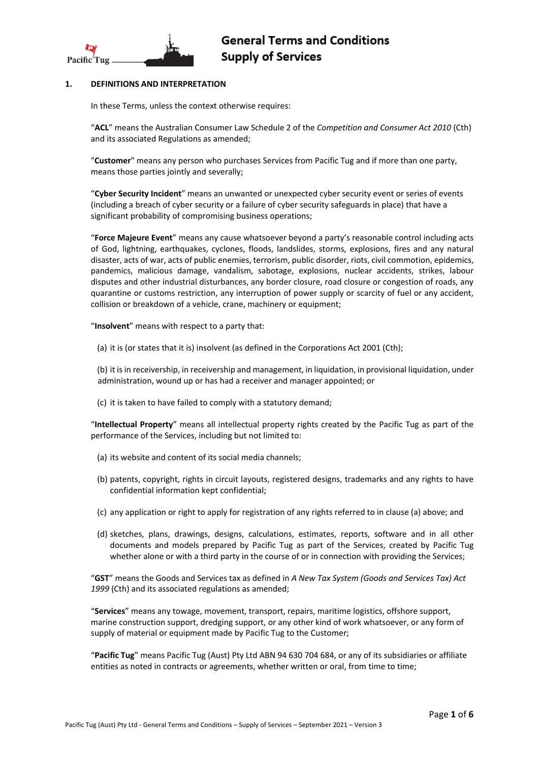

# **1. DEFINITIONS AND INTERPRETATION**

In these Terms, unless the context otherwise requires:

"**ACL**" means the Australian Consumer Law Schedule 2 of the *Competition and Consumer Act 2010* (Cth) and its associated Regulations as amended;

"**Customer**" means any person who purchases Services from Pacific Tug and if more than one party, means those parties jointly and severally;

"**Cyber Security Incident**" means an unwanted or unexpected cyber security event or series of events (including a breach of cyber security or a failure of cyber security safeguards in place) that have a significant probability of compromising business operations;

"**Force Majeure Event**" means any cause whatsoever beyond a party's reasonable control including acts of God, lightning, earthquakes, cyclones, floods, landslides, storms, explosions, fires and any natural disaster, acts of war, acts of public enemies, terrorism, public disorder, riots, civil commotion, epidemics, pandemics, malicious damage, vandalism, sabotage, explosions, nuclear accidents, strikes, labour disputes and other industrial disturbances, any border closure, road closure or congestion of roads, any quarantine or customs restriction, any interruption of power supply or scarcity of fuel or any accident, collision or breakdown of a vehicle, crane, machinery or equipment;

"**Insolvent**" means with respect to a party that:

(a) it is (or states that it is) insolvent (as defined in the Corporations Act 2001 (Cth);

(b) it is in receivership, in receivership and management, in liquidation, in provisional liquidation, under administration, wound up or has had a receiver and manager appointed; or

(c) it is taken to have failed to comply with a statutory demand;

"**Intellectual Property**" means all intellectual property rights created by the Pacific Tug as part of the performance of the Services, including but not limited to:

- (a) its website and content of its social media channels;
- (b) patents, copyright, rights in circuit layouts, registered designs, trademarks and any rights to have confidential information kept confidential;
- (c) any application or right to apply for registration of any rights referred to in clause (a) above; and
- (d) sketches, plans, drawings, designs, calculations, estimates, reports, software and in all other documents and models prepared by Pacific Tug as part of the Services, created by Pacific Tug whether alone or with a third party in the course of or in connection with providing the Services;

"**GST**" means the Goods and Services tax as defined in *A New Tax System (Goods and Services Tax) Act 1999* (Cth) and its associated regulations as amended;

"**Services**" means any towage, movement, transport, repairs, maritime logistics, offshore support, marine construction support, dredging support, or any other kind of work whatsoever, or any form of supply of material or equipment made by Pacific Tug to the Customer;

"**Pacific Tug**" means Pacific Tug (Aust) Pty Ltd ABN 94 630 704 684, or any of its subsidiaries or affiliate entities as noted in contracts or agreements, whether written or oral, from time to time;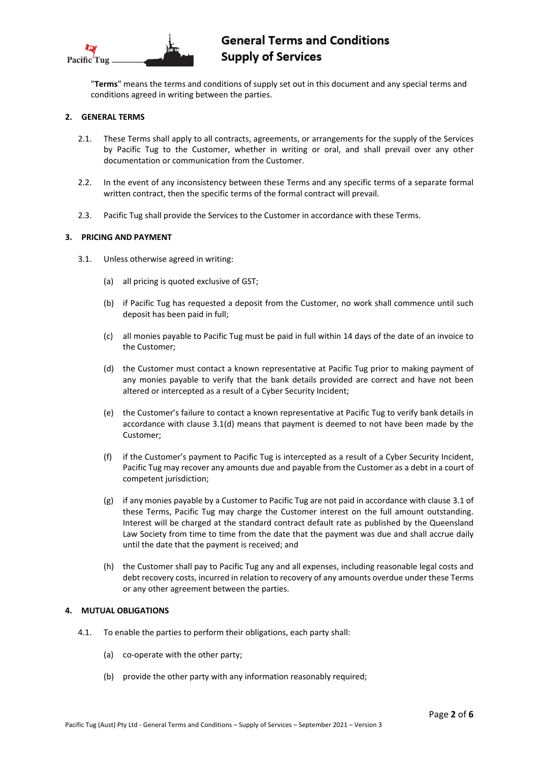

# **General Terms and Conditions Supply of Services**

"**Terms**" means the terms and conditions of supply set out in this document and any special terms and conditions agreed in writing between the parties.

## **2. GENERAL TERMS**

- 2.1. These Terms shall apply to all contracts, agreements, or arrangements for the supply of the Services by Pacific Tug to the Customer, whether in writing or oral, and shall prevail over any other documentation or communication from the Customer.
- 2.2. In the event of any inconsistency between these Terms and any specific terms of a separate formal written contract, then the specific terms of the formal contract will prevail.
- 2.3. Pacific Tug shall provide the Services to the Customer in accordance with these Terms.

## **3. PRICING AND PAYMENT**

- 3.1. Unless otherwise agreed in writing:
	- (a) all pricing is quoted exclusive of GST;
	- (b) if Pacific Tug has requested a deposit from the Customer, no work shall commence until such deposit has been paid in full;
	- (c) all monies payable to Pacific Tug must be paid in full within 14 days of the date of an invoice to the Customer;
	- (d) the Customer must contact a known representative at Pacific Tug prior to making payment of any monies payable to verify that the bank details provided are correct and have not been altered or intercepted as a result of a Cyber Security Incident;
	- (e) the Customer's failure to contact a known representative at Pacific Tug to verify bank details in accordance with clause 3.1(d) means that payment is deemed to not have been made by the Customer;
	- (f) if the Customer's payment to Pacific Tug is intercepted as a result of a Cyber Security Incident, Pacific Tug may recover any amounts due and payable from the Customer as a debt in a court of competent jurisdiction;
	- (g) if any monies payable by a Customer to Pacific Tug are not paid in accordance with clause 3.1 of these Terms, Pacific Tug may charge the Customer interest on the full amount outstanding. Interest will be charged at the standard contract default rate as published by the Queensland Law Society from time to time from the date that the payment was due and shall accrue daily until the date that the payment is received; and
	- (h) the Customer shall pay to Pacific Tug any and all expenses, including reasonable legal costs and debt recovery costs, incurred in relation to recovery of any amounts overdue under these Terms or any other agreement between the parties.

# **4. MUTUAL OBLIGATIONS**

- 4.1. To enable the parties to perform their obligations, each party shall:
	- (a) co-operate with the other party;
	- (b) provide the other party with any information reasonably required;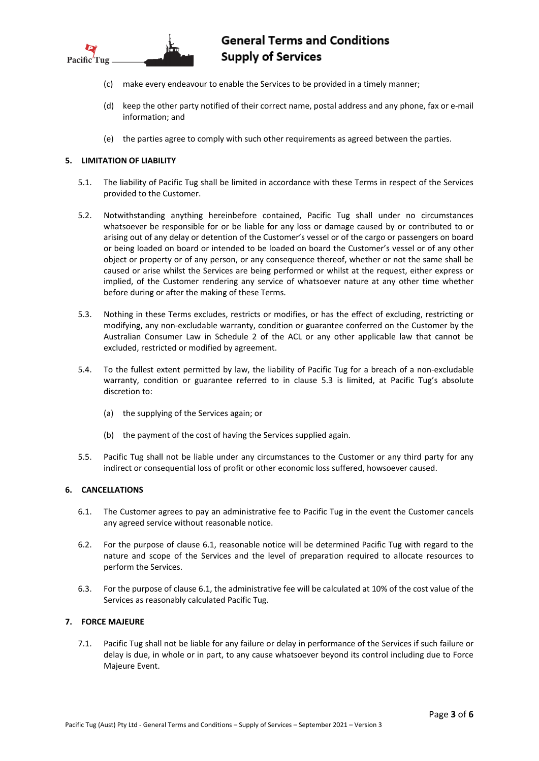

# **General Terms and Conditions Supply of Services**

- (c) make every endeavour to enable the Services to be provided in a timely manner;
- (d) keep the other party notified of their correct name, postal address and any phone, fax or e-mail information; and
- (e) the parties agree to comply with such other requirements as agreed between the parties.

# **5. LIMITATION OF LIABILITY**

- 5.1. The liability of Pacific Tug shall be limited in accordance with these Terms in respect of the Services provided to the Customer.
- 5.2. Notwithstanding anything hereinbefore contained, Pacific Tug shall under no circumstances whatsoever be responsible for or be liable for any loss or damage caused by or contributed to or arising out of any delay or detention of the Customer's vessel or of the cargo or passengers on board or being loaded on board or intended to be loaded on board the Customer's vessel or of any other object or property or of any person, or any consequence thereof, whether or not the same shall be caused or arise whilst the Services are being performed or whilst at the request, either express or implied, of the Customer rendering any service of whatsoever nature at any other time whether before during or after the making of these Terms.
- 5.3. Nothing in these Terms excludes, restricts or modifies, or has the effect of excluding, restricting or modifying, any non-excludable warranty, condition or guarantee conferred on the Customer by the Australian Consumer Law in Schedule 2 of the ACL or any other applicable law that cannot be excluded, restricted or modified by agreement.
- 5.4. To the fullest extent permitted by law, the liability of Pacific Tug for a breach of a non-excludable warranty, condition or guarantee referred to in clause 5.3 is limited, at Pacific Tug's absolute discretion to:
	- (a) the supplying of the Services again; or
	- (b) the payment of the cost of having the Services supplied again.
- 5.5. Pacific Tug shall not be liable under any circumstances to the Customer or any third party for any indirect or consequential loss of profit or other economic loss suffered, howsoever caused.

# **6. CANCELLATIONS**

- 6.1. The Customer agrees to pay an administrative fee to Pacific Tug in the event the Customer cancels any agreed service without reasonable notice.
- 6.2. For the purpose of clause 6.1, reasonable notice will be determined Pacific Tug with regard to the nature and scope of the Services and the level of preparation required to allocate resources to perform the Services.
- 6.3. For the purpose of clause 6.1, the administrative fee will be calculated at 10% of the cost value of the Services as reasonably calculated Pacific Tug.

# **7. FORCE MAJEURE**

7.1. Pacific Tug shall not be liable for any failure or delay in performance of the Services if such failure or delay is due, in whole or in part, to any cause whatsoever beyond its control including due to Force Majeure Event.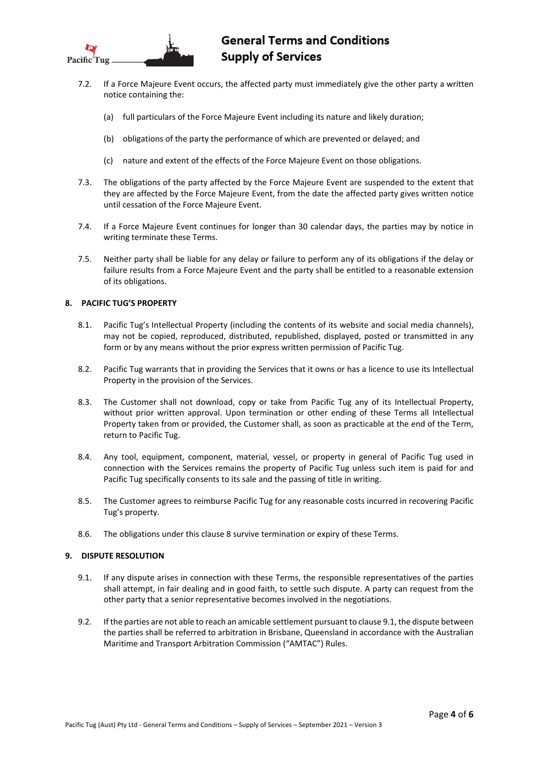

- 7.2. If a Force Majeure Event occurs, the affected party must immediately give the other party a written notice containing the:
	- (a) full particulars of the Force Majeure Event including its nature and likely duration;
	- (b) obligations of the party the performance of which are prevented or delayed; and
	- (c) nature and extent of the effects of the Force Majeure Event on those obligations.
- 7.3. The obligations of the party affected by the Force Majeure Event are suspended to the extent that they are affected by the Force Majeure Event, from the date the affected party gives written notice until cessation of the Force Majeure Event.
- 7.4. If a Force Majeure Event continues for longer than 30 calendar days, the parties may by notice in writing terminate these Terms.
- 7.5. Neither party shall be liable for any delay or failure to perform any of its obligations if the delay or failure results from a Force Majeure Event and the party shall be entitled to a reasonable extension of its obligations.

# **8. PACIFIC TUG'S PROPERTY**

- 8.1. Pacific Tug's Intellectual Property (including the contents of its website and social media channels), may not be copied, reproduced, distributed, republished, displayed, posted or transmitted in any form or by any means without the prior express written permission of Pacific Tug.
- 8.2. Pacific Tug warrants that in providing the Services that it owns or has a licence to use its Intellectual Property in the provision of the Services.
- 8.3. The Customer shall not download, copy or take from Pacific Tug any of its Intellectual Property, without prior written approval. Upon termination or other ending of these Terms all Intellectual Property taken from or provided, the Customer shall, as soon as practicable at the end of the Term, return to Pacific Tug.
- 8.4. Any tool, equipment, component, material, vessel, or property in general of Pacific Tug used in connection with the Services remains the property of Pacific Tug unless such item is paid for and Pacific Tug specifically consents to its sale and the passing of title in writing.
- 8.5. The Customer agrees to reimburse Pacific Tug for any reasonable costs incurred in recovering Pacific Tug's property.
- 8.6. The obligations under this clause 8 survive termination or expiry of these Terms.

#### **9. DISPUTE RESOLUTION**

- 9.1. If any dispute arises in connection with these Terms, the responsible representatives of the parties shall attempt, in fair dealing and in good faith, to settle such dispute. A party can request from the other party that a senior representative becomes involved in the negotiations.
- 9.2. If the parties are not able to reach an amicable settlement pursuant to clause 9.1, the dispute between the parties shall be referred to arbitration in Brisbane, Queensland in accordance with the Australian Maritime and Transport Arbitration Commission ("AMTAC") Rules.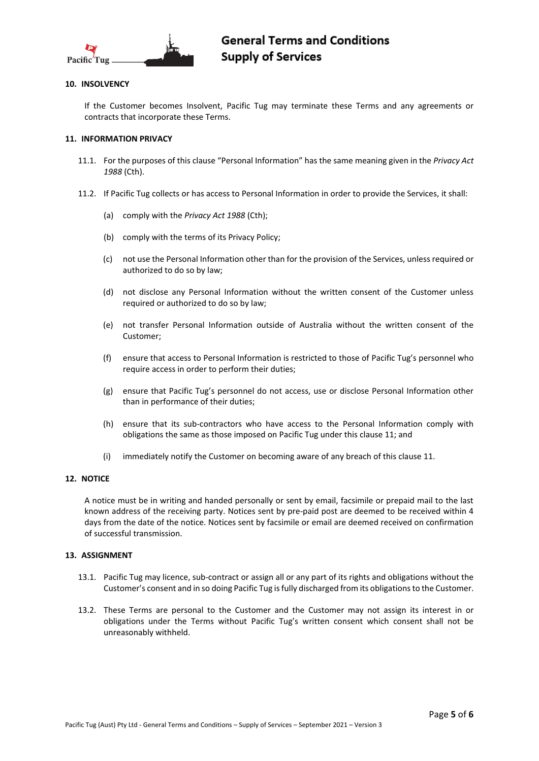

## **10. INSOLVENCY**

If the Customer becomes Insolvent, Pacific Tug may terminate these Terms and any agreements or contracts that incorporate these Terms.

#### **11. INFORMATION PRIVACY**

- 11.1. For the purposes of this clause "Personal Information" has the same meaning given in the *Privacy Act 1988* (Cth).
- 11.2. If Pacific Tug collects or has access to Personal Information in order to provide the Services, it shall:
	- (a) comply with the *Privacy Act 1988* (Cth);
	- (b) comply with the terms of its Privacy Policy;
	- (c) not use the Personal Information other than for the provision of the Services, unless required or authorized to do so by law;
	- (d) not disclose any Personal Information without the written consent of the Customer unless required or authorized to do so by law;
	- (e) not transfer Personal Information outside of Australia without the written consent of the Customer;
	- (f) ensure that access to Personal Information is restricted to those of Pacific Tug's personnel who require access in order to perform their duties;
	- (g) ensure that Pacific Tug's personnel do not access, use or disclose Personal Information other than in performance of their duties;
	- (h) ensure that its sub-contractors who have access to the Personal Information comply with obligations the same as those imposed on Pacific Tug under this clause 11; and
	- (i) immediately notify the Customer on becoming aware of any breach of this clause 11.

## **12. NOTICE**

A notice must be in writing and handed personally or sent by email, facsimile or prepaid mail to the last known address of the receiving party. Notices sent by pre-paid post are deemed to be received within 4 days from the date of the notice. Notices sent by facsimile or email are deemed received on confirmation of successful transmission.

#### **13. ASSIGNMENT**

- 13.1. Pacific Tug may licence, sub-contract or assign all or any part of its rights and obligations without the Customer's consent and in so doing Pacific Tug is fully discharged from its obligations to the Customer.
- 13.2. These Terms are personal to the Customer and the Customer may not assign its interest in or obligations under the Terms without Pacific Tug's written consent which consent shall not be unreasonably withheld.